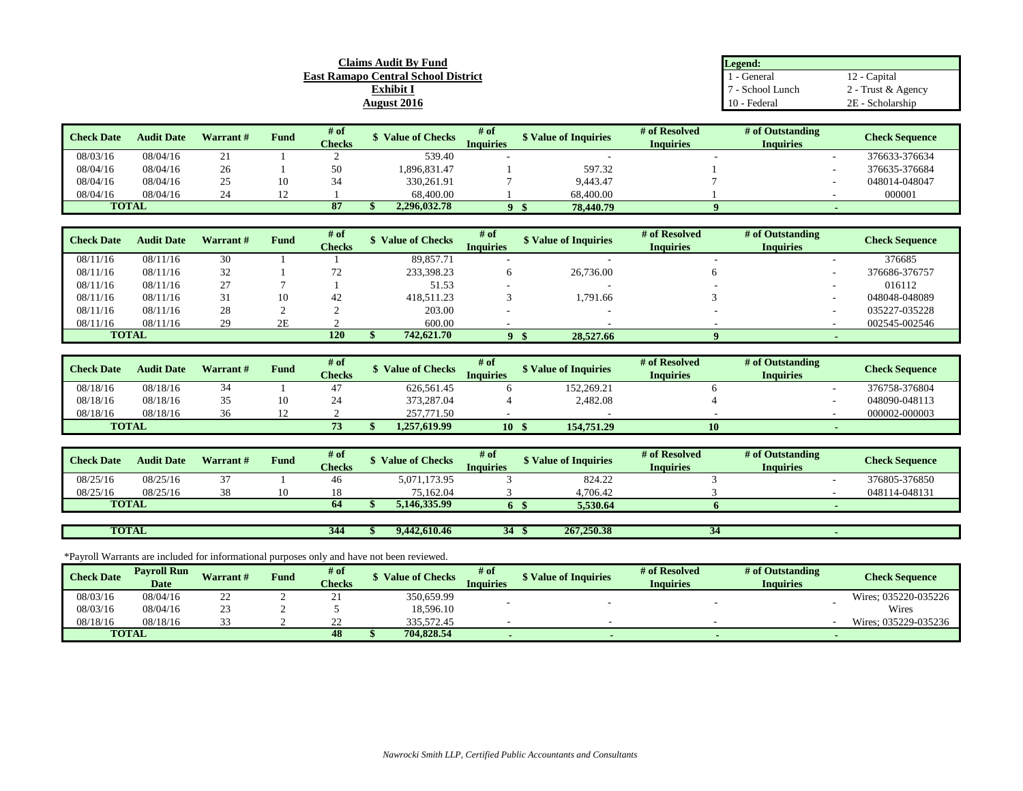| <b>Claims Audit By Fund</b>                | Legend:        |                    |  |  |
|--------------------------------------------|----------------|--------------------|--|--|
| <b>East Ramapo Central School District</b> | - General      | Capital            |  |  |
| <b>Exhibit I</b>                           | - School Lunch | 2 - Trust & Agency |  |  |
| August 2016                                | 10 - Federal   | 2E - Scholarship   |  |  |

| <b>Check Date</b> | <b>Audit Date</b> | Warrant# | Fund | $#$ of        | <b>Value of Checks</b> | # of<br><b>Value of Inquiries</b> |           | # of Resolved    | # of Outstanding | <b>Check Sequence</b> |
|-------------------|-------------------|----------|------|---------------|------------------------|-----------------------------------|-----------|------------------|------------------|-----------------------|
|                   |                   |          |      | <b>Checks</b> |                        | Inquiries                         |           | <b>Inquiries</b> | Inquiries        |                       |
| 08/03/16          | 08/04/16          | ∠⊥       |      |               | 539.40                 |                                   |           |                  |                  | 376633-376634         |
| 08/04/16          | 08/04/16          | 26       |      | 50            | .896.831.47            |                                   | 597.32    |                  |                  | 376635-376684         |
| 08/04/16          | 08/04/16          | رے       | 10   |               | 330.261.91             |                                   | 9.443.47  |                  |                  | 048014-048047         |
| 08/04/16          | 08/04/16          |          |      |               | 68,400.00              |                                   | 68,400.00 |                  |                  | 000001                |
| <b>TOTAL</b>      |                   |          |      | $\mathbf{d}$  | 2.296.032.78           |                                   | 78,440.79 |                  |                  |                       |

| <b>Check Date</b> | <b>Audit Date</b> | Warrant # | Fund | # of<br><b>Checks</b> | <b>Value of Checks</b> | # of<br>Inquiries | S Value of Inquiries | # of Resolved<br><b>Inquiries</b> | # of Outstanding<br><b>Inquiries</b> | <b>Check Sequence</b> |
|-------------------|-------------------|-----------|------|-----------------------|------------------------|-------------------|----------------------|-----------------------------------|--------------------------------------|-----------------------|
| 08/11/16          | 08/11/16          | 30        |      |                       | 89,857.71              |                   | $\sim$               |                                   |                                      | 376685                |
| 08/11/16          | 08/11/16          | 32        |      |                       | 233,398.23             |                   | 26,736.00            |                                   |                                      | 376686-376757         |
| 08/11/16          | 08/11/16          | 27        |      |                       | 51.53                  |                   | $\sim$               |                                   |                                      | 016112                |
| 08/11/16          | 08/11/16          |           | 10   | 42                    | 418.511.23             |                   | 1.791.66             |                                   |                                      | 048048-048089         |
| 08/11/16          | 08/11/16          | 28        |      |                       | 203.00                 |                   |                      |                                   |                                      | 035227-035228         |
| 08/11/16          | 08/11/16          | 29        | 2E   |                       | 600.00                 |                   |                      |                                   |                                      | 002545-002546         |
| <b>TOTAL</b>      |                   |           |      | 120                   | 742,621.70             |                   | 28,527.66            |                                   |                                      |                       |

| <b>Check Date</b> | <b>Audit Date</b> | <b>Warrant</b> # | <b>Fund</b> | $#$ of<br><b>Checks</b> | <b>Value of Checks</b> | # of<br>Inauiries | <b>\$ Value of Inquiries</b> | # of Resolved<br><b>Inquiries</b> | # of Outstanding<br><b>Inquiries</b> | <b>Check Sequence</b> |
|-------------------|-------------------|------------------|-------------|-------------------------|------------------------|-------------------|------------------------------|-----------------------------------|--------------------------------------|-----------------------|
| 08/18/16          | 08/18/16          |                  |             |                         | 626.561.45             |                   | 152,269.21                   |                                   |                                      | 376758-376804         |
| 08/18/16          | 08/18/16          |                  | 10          | ∼                       | 373,287.04             |                   | 2,482.08                     |                                   |                                      | 048090-048113         |
| 08/18/16          | 08/18/16          | $\sim$           |             |                         | 257,771.50             |                   |                              |                                   |                                      | 000002-000003         |
| <b>TOTAL</b>      |                   |                  |             | 77<br>$\cdot$           | 1.257.619.99           | 10                | 154.751.29                   | 10                                |                                      |                       |

| <b>Check Date</b> | <b>Audit Date</b> | <b>Warrant</b> # | <b>Fund</b> | $#$ of<br><b>Checks</b> | <b>Value of Checks</b> | # of<br>Inquiries | <b>\$</b> Value of Inquiries | # of Resolved<br><b>Inquiries</b> | # of Outstanding<br><b>Inquiries</b> | <b>Check Sequence</b> |
|-------------------|-------------------|------------------|-------------|-------------------------|------------------------|-------------------|------------------------------|-----------------------------------|--------------------------------------|-----------------------|
| 08/25/16          | 08/25/16          |                  |             | 46                      | 5,071,173.95           |                   | 824.22                       |                                   |                                      | 376805-376850         |
| 08/25/16          | 08/25/16          |                  | '0          |                         | 75.162.04              |                   | 4.706.42                     |                                   |                                      | 048114-048131         |
| <b>TOTAL</b>      |                   |                  |             | 64                      | 5.146.335.99           |                   | 5.530.64                     |                                   |                                      |                       |
|                   |                   |                  |             |                         |                        |                   |                              |                                   |                                      |                       |

**344 \$ 9,442,610.46 34 \$ 267,250.38 34 -** 

\*Payroll Warrants are included for informational purposes only and have not been reviewed.

**TOTAL**

| <b>Check Date</b> | <b>Pavroll Run</b><br><b>Date</b> | Warrant# | Fund | # of<br><b>Checks</b> | <b>Value of Checks</b> | # of<br>Inquiries | S Value of Inquiries | # of Resolved<br><b>Inquiries</b> | # of Outstanding<br><b>Inquiries</b> | <b>Check Sequence</b> |
|-------------------|-----------------------------------|----------|------|-----------------------|------------------------|-------------------|----------------------|-----------------------------------|--------------------------------------|-----------------------|
| 08/03/16          | 08/04/16                          | ∸        |      | 41                    | 350,659.99             |                   |                      |                                   |                                      | Wires: 035220-035226  |
| 08/03/16          | 08/04/16                          | <u>_</u> |      |                       | 18,596.10              |                   |                      |                                   |                                      | Wires                 |
| 08/18/16          | 08/18/16                          |          |      | --                    | 335.572.45             |                   |                      |                                   |                                      | Wires: 035229-035236  |
|                   | <b>TOTAL</b>                      |          |      | 48                    | 704.828.54             |                   |                      |                                   |                                      |                       |